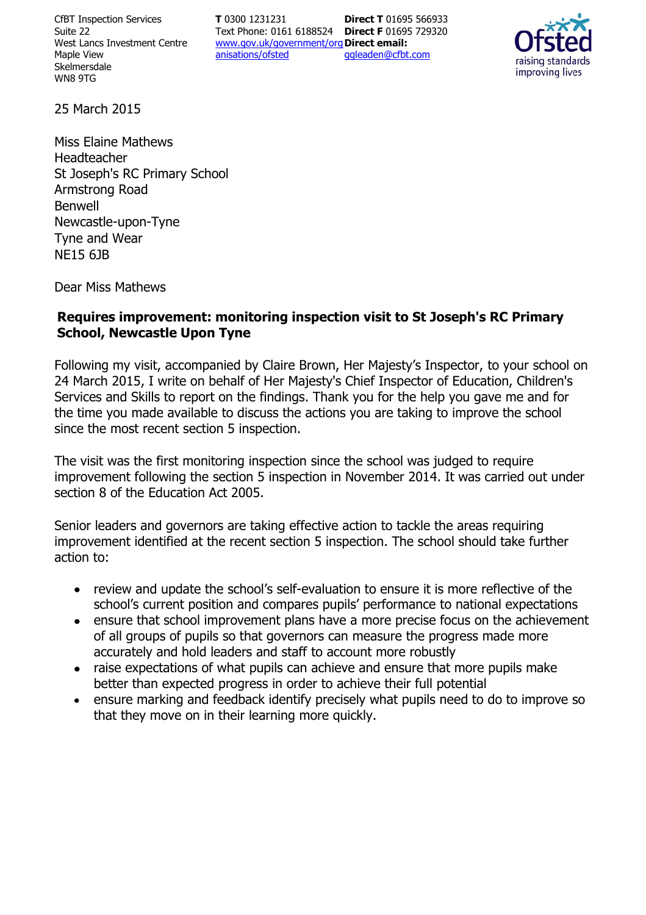CfBT Inspection Services Suite 22 West Lancs Investment Centre Maple View Skelmersdale WN8 9TG

**T** 0300 1231231 Text Phone: 0161 6188524 **Direct F** 01695 729320 www.gov.uk/government/org **Direct email:**  anisations/ofsted **Direct T** 01695 566933 ggleaden@cfbt.com



25 March 2015

Miss Elaine Mathews Headteacher St Joseph's RC Primary School Armstrong Road Benwell Newcastle-upon-Tyne Tyne and Wear NE15 6JB

Dear Miss Mathews

### **Requires improvement: monitoring inspection visit to St Joseph's RC Primary School, Newcastle Upon Tyne**

Following my visit, accompanied by Claire Brown, Her Majesty's Inspector, to your school on 24 March 2015, I write on behalf of Her Majesty's Chief Inspector of Education, Children's Services and Skills to report on the findings. Thank you for the help you gave me and for the time you made available to discuss the actions you are taking to improve the school since the most recent section 5 inspection.

The visit was the first monitoring inspection since the school was judged to require improvement following the section 5 inspection in November 2014. It was carried out under section 8 of the Education Act 2005.

Senior leaders and governors are taking effective action to tackle the areas requiring improvement identified at the recent section 5 inspection. The school should take further action to:

- review and update the school's self-evaluation to ensure it is more reflective of the school's current position and compares pupils' performance to national expectations
- ensure that school improvement plans have a more precise focus on the achievement  $\bullet$ of all groups of pupils so that governors can measure the progress made more accurately and hold leaders and staff to account more robustly
- raise expectations of what pupils can achieve and ensure that more pupils make better than expected progress in order to achieve their full potential
- ensure marking and feedback identify precisely what pupils need to do to improve so  $\bullet$ that they move on in their learning more quickly.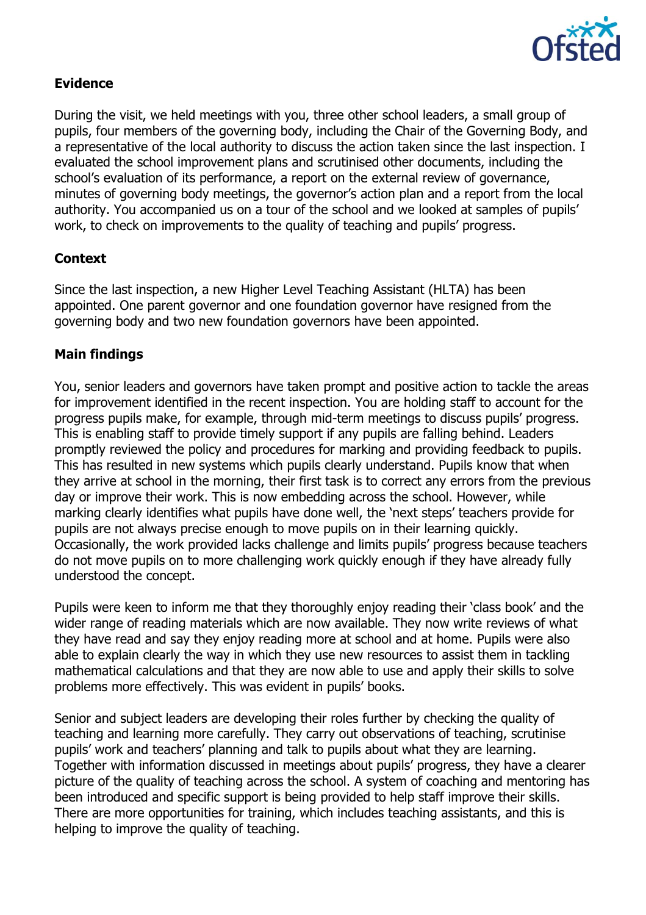

# **Evidence**

During the visit, we held meetings with you, three other school leaders, a small group of pupils, four members of the governing body, including the Chair of the Governing Body, and a representative of the local authority to discuss the action taken since the last inspection. I evaluated the school improvement plans and scrutinised other documents, including the school's evaluation of its performance, a report on the external review of governance, minutes of governing body meetings, the governor's action plan and a report from the local authority. You accompanied us on a tour of the school and we looked at samples of pupils' work, to check on improvements to the quality of teaching and pupils' progress.

## **Context**

Since the last inspection, a new Higher Level Teaching Assistant (HLTA) has been appointed. One parent governor and one foundation governor have resigned from the governing body and two new foundation governors have been appointed.

### **Main findings**

You, senior leaders and governors have taken prompt and positive action to tackle the areas for improvement identified in the recent inspection. You are holding staff to account for the progress pupils make, for example, through mid-term meetings to discuss pupils' progress. This is enabling staff to provide timely support if any pupils are falling behind. Leaders promptly reviewed the policy and procedures for marking and providing feedback to pupils. This has resulted in new systems which pupils clearly understand. Pupils know that when they arrive at school in the morning, their first task is to correct any errors from the previous day or improve their work. This is now embedding across the school. However, while marking clearly identifies what pupils have done well, the 'next steps' teachers provide for pupils are not always precise enough to move pupils on in their learning quickly. Occasionally, the work provided lacks challenge and limits pupils' progress because teachers do not move pupils on to more challenging work quickly enough if they have already fully understood the concept.

Pupils were keen to inform me that they thoroughly enjoy reading their 'class book' and the wider range of reading materials which are now available. They now write reviews of what they have read and say they enjoy reading more at school and at home. Pupils were also able to explain clearly the way in which they use new resources to assist them in tackling mathematical calculations and that they are now able to use and apply their skills to solve problems more effectively. This was evident in pupils' books.

Senior and subject leaders are developing their roles further by checking the quality of teaching and learning more carefully. They carry out observations of teaching, scrutinise pupils' work and teachers' planning and talk to pupils about what they are learning. Together with information discussed in meetings about pupils' progress, they have a clearer picture of the quality of teaching across the school. A system of coaching and mentoring has been introduced and specific support is being provided to help staff improve their skills. There are more opportunities for training, which includes teaching assistants, and this is helping to improve the quality of teaching.